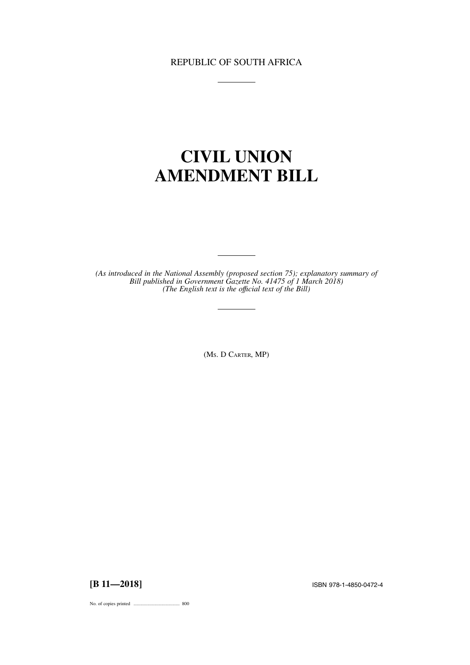## REPUBLIC OF SOUTH AFRICA

# **CIVIL UNION AMENDMENT BILL**

*(As introduced in the National Assembly (proposed section 75); explanatory summary of Bill published in Government Gazette No. 41475 of 1 March 2018) (The English text is the offıcial text of the Bill)*

(MS.DCARTER, MP)

**[B 11—2018]** ISBN 978-1-4850-0472-4

No. of copies printed ....................................... 800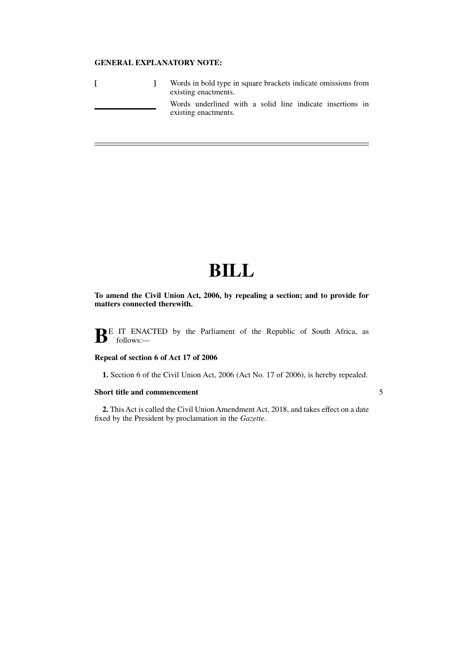### **GENERAL EXPLANATORY NOTE:**

|  | Words in bold type in square brackets indicate omissions from<br>existing enactments. |
|--|---------------------------------------------------------------------------------------|
|  | Words underlined with a solid line indicate insertions in<br>existing enactments.     |

# **BILL**

**To amend the Civil Union Act, 2006, by repealing a section; and to provide for matters connected therewith.**

**BE** IT ENACTED by the Parliament of the Republic of South Africa, as follows:-

#### **Repeal of section 6 of Act 17 of 2006**

**1.** Section 6 of the Civil Union Act, 2006 (Act No. 17 of 2006), is hereby repealed.

5

#### **Short title and commencement**

**2.** This Act is called the Civil Union Amendment Act, 2018, and takes effect on a date fixed by the President by proclamation in the *Gazette*.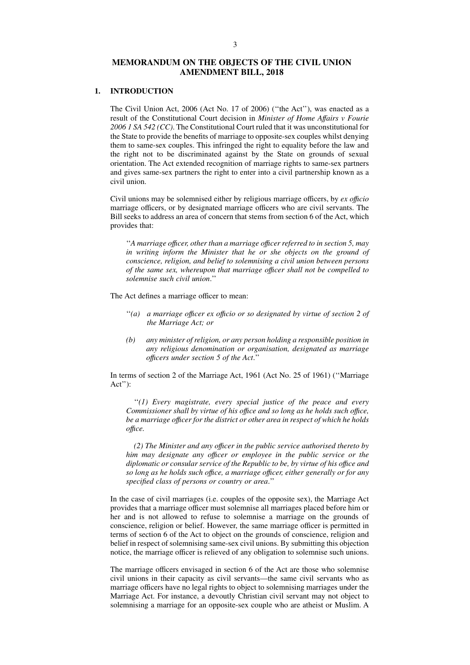### **MEMORANDUM ON THE OBJECTS OF THE CIVIL UNION AMENDMENT BILL, 2018**

#### **1. INTRODUCTION**

The Civil Union Act, 2006 (Act No. 17 of 2006) (''the Act''), was enacted as a result of the Constitutional Court decision in *Minister of Home Affairs v Fourie 2006 1 SA 542 (CC)*. The Constitutional Court ruled that it was unconstitutional for the State to provide the benefits of marriage to opposite-sex couples whilst denying them to same-sex couples. This infringed the right to equality before the law and the right not to be discriminated against by the State on grounds of sexual orientation. The Act extended recognition of marriage rights to same-sex partners and gives same-sex partners the right to enter into a civil partnership known as a civil union.

Civil unions may be solemnised either by religious marriage officers, by *ex offıcio* marriage officers, or by designated marriage officers who are civil servants. The Bill seeks to address an area of concern that stems from section 6 of the Act, which provides that:

''*A marriage offıcer, other than a marriage offıcer referred to in section 5, may in writing inform the Minister that he or she objects on the ground of conscience, religion, and belief to solemnising a civil union between persons of the same sex, whereupon that marriage offıcer shall not be compelled to solemnise such civil union*.''

The Act defines a marriage officer to mean:

- ''*(a) a marriage offıcer ex offıcio or so designated by virtue of section 2 of the Marriage Act; or*
- *(b) any minister of religion, or any person holding a responsible position in any religious denomination or organisation, designated as marriage offıcers under section 5 of the Act*.''

In terms of section 2 of the Marriage Act, 1961 (Act No. 25 of 1961) (''Marriage Act''):

''*(1) Every magistrate, every special justice of the peace and every Commissioner shall by virtue of his offıce and so long as he holds such offıce, be a marriage offıcer for the district or other area in respect of which he holds offıce.*

*(2) The Minister and any offıcer in the public service authorised thereto by him may designate any offıcer or employee in the public service or the diplomatic or consular service of the Republic to be, by virtue of his offıce and so long as he holds such offıce, a marriage offıcer, either generally or for any specified class of persons or country or area*.''

In the case of civil marriages (i.e. couples of the opposite sex), the Marriage Act provides that a marriage officer must solemnise all marriages placed before him or her and is not allowed to refuse to solemnise a marriage on the grounds of conscience, religion or belief. However, the same marriage officer is permitted in terms of section 6 of the Act to object on the grounds of conscience, religion and belief in respect of solemnising same-sex civil unions. By submitting this objection notice, the marriage officer is relieved of any obligation to solemnise such unions.

The marriage officers envisaged in section 6 of the Act are those who solemnise civil unions in their capacity as civil servants—the same civil servants who as marriage officers have no legal rights to object to solemnising marriages under the Marriage Act. For instance, a devoutly Christian civil servant may not object to solemnising a marriage for an opposite-sex couple who are atheist or Muslim. A